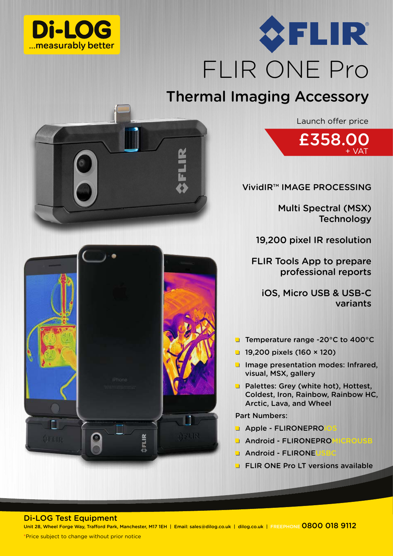



## Thermal Imaging Accessory

Launch offer price



VividIR™ IMAGE PROCESSING

Multi Spectral (MSX) **Technology** 

19,200 pixel IR resolution

FLIR Tools App to prepare professional reports

iOS, Micro USB & USB-C variants

- Temperature range -20°C to 400°C
- $19,200$  pixels (160 × 120)
- **Image presentation modes: Infrared,** visual, MSX, gallery
- **Palettes: Grey (white hot), Hottest,** Coldest, Iron, Rainbow, Rainbow HC, Arctic, Lava, and Wheel

Part Numbers:

- **Apple FLIRONEPRO**
- **Android FLIRONEPRO**
- $\blacksquare$  Android FLIRONE
- **FLIR ONE Pro LT versions available**

Di-LOG Test Equipment

Unit 28, Wheel Forge Way, Trafford Park, Manchester, M17 1EH | Email: sales@dilog.co.uk | dilog.co.uk | FREEPHONE 0800 018 9112

**ÖFLIR**